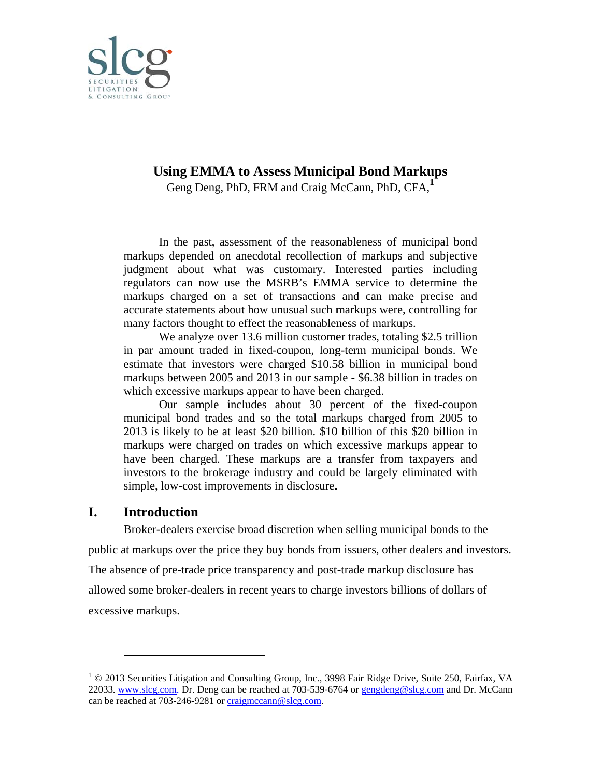

# **Using EMMA to Assess Municipal Bond Markups**

Geng Deng, PhD, FRM and Craig McCann, PhD, CFA,<sup>1</sup>

In the past, assessment of the reasonableness of municipal bond markups depended on anecdotal recollection of markups and subjective judgment about what was customary. Interested parties including regulators can now use the MSRB's EMMA service to determine the markups charged on a set of transactions and can make precise and accurate statements about how unusual such markups were, controlling for many factors thought to effect the reasonableness of markups.

We analyze over 13.6 million customer trades, totaling \$2.5 trillion in par am mount traded d in fixed-c coupon, long g-term mun icipal bonds s. We estimate that investors were charged \$10.58 billion in municipal bond markups between 2005 and 2013 in our sample - \$6.38 billion in trades on which excessive markups appear to have been charged.

Our sample includes about 30 percent of the fixed-coupon municipal bond trades and so the total markups charged from 2005 to 2013 is likely to be at least \$20 billion. \$10 billion of this \$20 billion in markups were charged on trades on which excessive markups appear to have been charged. These markups are a transfer from taxpayers and investors to the brokerage industry and could be largely eliminated with simple, low-cost improvements in disclosure.

#### **I. Introduction**

 $\overline{a}$ 

 $\overline{a}$ 

 $\overline{a}$ 

public at markups over the price they buy bonds from issuers, other dealers and investors. The absence of pre-trade price transparency and post-trade markup disclosure has allowed some broker-dealers in recent years to charge investors billions of dollars of excessive markups. simple, low-cost improvements in disclosure.<br>**Introduction**<br>Broker-dealers exercise broad discretion when selling municipal bonds to the

 $1 \odot 2013$  Securities Litigation and Consulting Group, Inc., 3998 Fair Ridge Drive, Suite 250, Fairfax, VA 22033. www.slcg.com. Dr. Deng can be reached at 703-539-6764 or gengdeng@slcg.com and Dr. McCann can be reached at 703-246-9281 or craigmccann@slcg.com.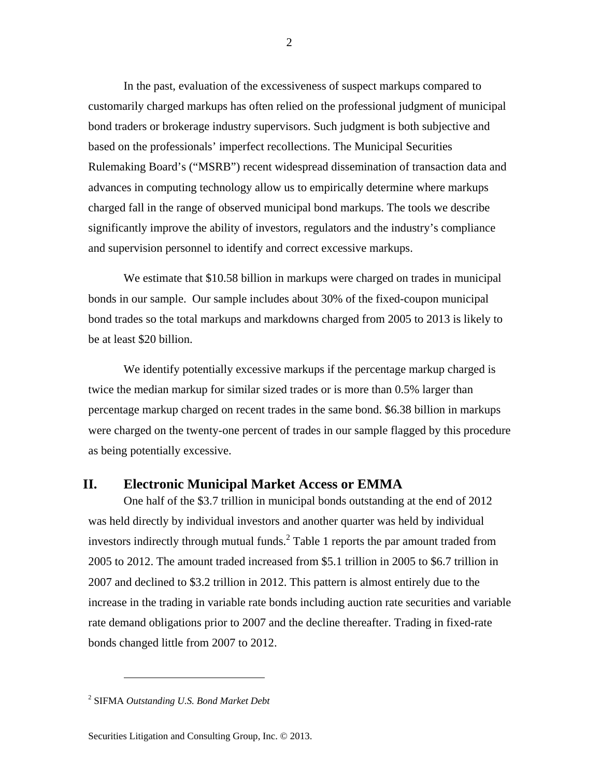In the past, evaluation of the excessiveness of suspect markups compared to customarily charged markups has often relied on the professional judgment of municipal bond traders or brokerage industry supervisors. Such judgment is both subjective and based on the professionals' imperfect recollections. The Municipal Securities Rulemaking Board's ("MSRB") recent widespread dissemination of transaction data and advances in computing technology allow us to empirically determine where markups charged fall in the range of observed municipal bond markups. The tools we describe significantly improve the ability of investors, regulators and the industry's compliance and supervision personnel to identify and correct excessive markups.

We estimate that \$10.58 billion in markups were charged on trades in municipal bonds in our sample. Our sample includes about 30% of the fixed-coupon municipal bond trades so the total markups and markdowns charged from 2005 to 2013 is likely to be at least \$20 billion.

We identify potentially excessive markups if the percentage markup charged is twice the median markup for similar sized trades or is more than 0.5% larger than percentage markup charged on recent trades in the same bond. \$6.38 billion in markups were charged on the twenty-one percent of trades in our sample flagged by this procedure as being potentially excessive.

# **II. Electronic Municipal Market Access or EMMA**

One half of the \$3.7 trillion in municipal bonds outstanding at the end of 2012 was held directly by individual investors and another quarter was held by individual investors indirectly through mutual funds.<sup>2</sup> Table 1 reports the par amount traded from 2005 to 2012. The amount traded increased from \$5.1 trillion in 2005 to \$6.7 trillion in 2007 and declined to \$3.2 trillion in 2012. This pattern is almost entirely due to the increase in the trading in variable rate bonds including auction rate securities and variable rate demand obligations prior to 2007 and the decline thereafter. Trading in fixed-rate bonds changed little from 2007 to 2012.

 $\overline{a}$ 

<sup>2</sup> SIFMA *Outstanding U.S. Bond Market Debt*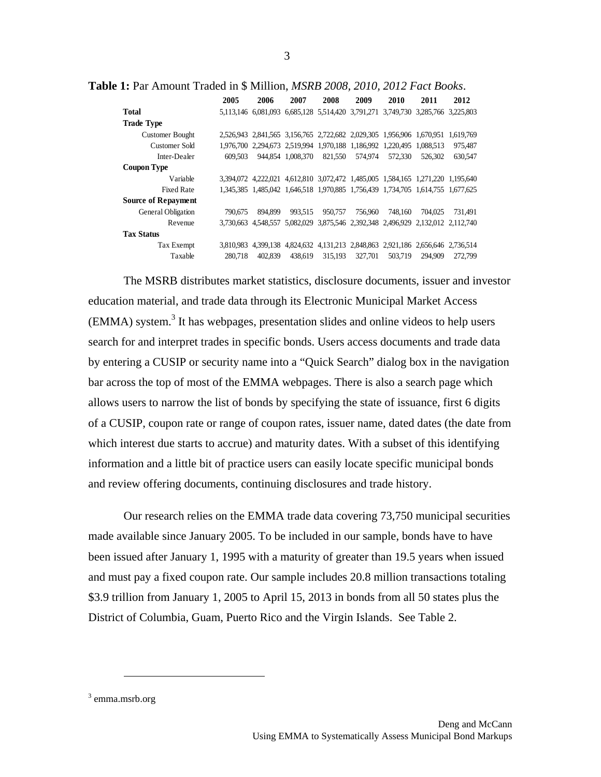**Table 1:** Par Amount Traded in \$ Million, *MSRB 2008, 2010, 2012 Fact Books*.

|                            | 2005      | 2006    | 2007              | 2008                                                                  | 2009    | 2010      | 2011                                                                            | 2012    |
|----------------------------|-----------|---------|-------------------|-----------------------------------------------------------------------|---------|-----------|---------------------------------------------------------------------------------|---------|
| Total                      |           |         |                   | 5,113,146 6,081,093 6,685,128 5,514,420 3,791,271                     |         | 3.749.730 | 3.285.766 3.225.803                                                             |         |
| <b>Trade Type</b>          |           |         |                   |                                                                       |         |           |                                                                                 |         |
| <b>Customer Bought</b>     |           |         |                   |                                                                       |         |           | 2,526,943 2,841,565 3,156,765 2,722,682 2,029,305 1,956,906 1,670,951 1,619,769 |         |
| Customer Sold              |           |         |                   | 1,976,700 2,294,673 2,519,994 1,970,188 1,186,992 1,220,495 1,088,513 |         |           |                                                                                 | 975,487 |
| Inter-Dealer               | 609.503   |         | 944,854 1,008,370 | 821,550                                                               | 574,974 | 572.330   | 526,302                                                                         | 630,547 |
| Coupon Type                |           |         |                   |                                                                       |         |           |                                                                                 |         |
| Variable                   |           |         |                   |                                                                       |         |           | 3,394,072 4,222,021 4,612,810 3,072,472 1,485,005 1,584,165 1,271,220 1,195,640 |         |
| <b>Fixed Rate</b>          |           |         |                   |                                                                       |         |           | 1,345,385 1,485,042 1,646,518 1,970,885 1,756,439 1,734,705 1,614,755 1,677,625 |         |
| <b>Source of Repayment</b> |           |         |                   |                                                                       |         |           |                                                                                 |         |
| General Obligation         | 790,675   | 894.899 | 993.515           | 950.757                                                               | 756,960 | 748.160   | 704.025                                                                         | 731.491 |
| Revenue                    | 3.730.663 |         |                   | 4,548,557 5,082,029 3,875,546 2,392,348 2,496,929                     |         |           | 2.132.012 2.112.740                                                             |         |
| <b>Tax Status</b>          |           |         |                   |                                                                       |         |           |                                                                                 |         |
| Tax Exempt                 | 3.810.983 |         |                   |                                                                       |         |           | 4,399,138 4,824,632 4,131,213 2,848,863 2,921,186 2,656,646 2,736,514           |         |
| Taxable                    | 280,718   | 402.839 | 438.619           | 315,193                                                               | 327,701 | 503,719   | 294.909                                                                         | 272,799 |

The MSRB distributes market statistics, disclosure documents, issuer and investor education material, and trade data through its Electronic Municipal Market Access  $(EMMA)$  system.<sup>3</sup> It has webpages, presentation slides and online videos to help users search for and interpret trades in specific bonds. Users access documents and trade data by entering a CUSIP or security name into a "Quick Search" dialog box in the navigation bar across the top of most of the EMMA webpages. There is also a search page which allows users to narrow the list of bonds by specifying the state of issuance, first 6 digits of a CUSIP, coupon rate or range of coupon rates, issuer name, dated dates (the date from which interest due starts to accrue) and maturity dates. With a subset of this identifying information and a little bit of practice users can easily locate specific municipal bonds and review offering documents, continuing disclosures and trade history.

Our research relies on the EMMA trade data covering 73,750 municipal securities made available since January 2005. To be included in our sample, bonds have to have been issued after January 1, 1995 with a maturity of greater than 19.5 years when issued and must pay a fixed coupon rate. Our sample includes 20.8 million transactions totaling \$3.9 trillion from January 1, 2005 to April 15, 2013 in bonds from all 50 states plus the District of Columbia, Guam, Puerto Rico and the Virgin Islands. See Table 2.

<sup>3</sup> emma.msrb.org

 $\overline{a}$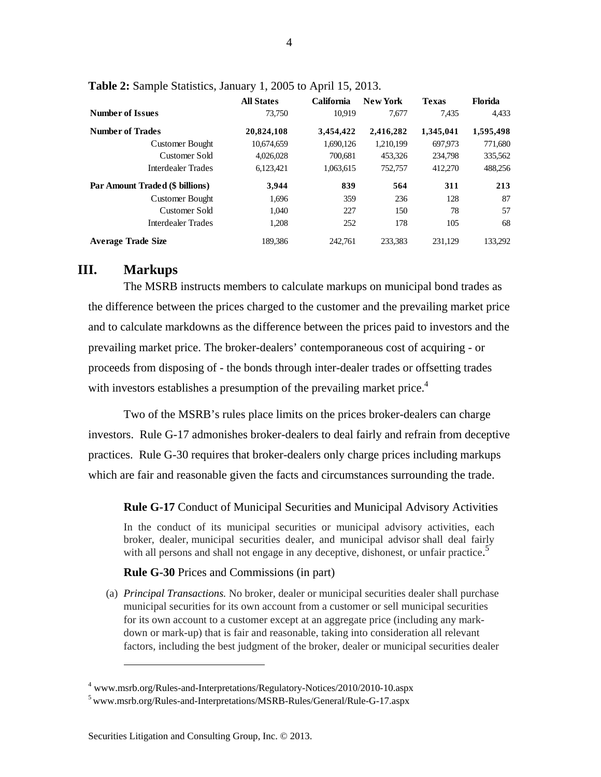|                                 | <b>All States</b> | California | <b>New York</b> | <b>Texas</b> | Florida   |
|---------------------------------|-------------------|------------|-----------------|--------------|-----------|
| <b>Number of Issues</b>         | 73,750            | 10.919     | 7.677           | 7.435        | 4.433     |
| <b>Number of Trades</b>         | 20,824,108        | 3,454,422  | 2,416,282       | 1,345,041    | 1,595,498 |
| <b>Customer Bought</b>          | 10,674,659        | 1,690,126  | 1.210.199       | 697.973      | 771,680   |
| Customer Sold                   | 4,026,028         | 700.681    | 453.326         | 234,798      | 335,562   |
| Interdealer Trades              | 6,123,421         | 1,063,615  | 752,757         | 412.270      | 488,256   |
| Par Amount Traded (\$ billions) | 3,944             | 839        | 564             | 311          | 213       |
| <b>Customer Bought</b>          | 1.696             | 359        | 236             | 128          | 87        |
| Customer Sold                   | 1.040             | 227        | 150             | 78           | 57        |
| Interdealer Trades              | 1,208             | 252        | 178             | 105          | 68        |
| <b>Average Trade Size</b>       | 189.386           | 242,761    | 233.383         | 231.129      | 133.292   |

**Table 2:** Sample Statistics, January 1, 2005 to April 15, 2013.

# **III. Markups**

 $\overline{a}$ 

The MSRB instructs members to calculate markups on municipal bond trades as the difference between the prices charged to the customer and the prevailing market price and to calculate markdowns as the difference between the prices paid to investors and the prevailing market price. The broker-dealers' contemporaneous cost of acquiring - or proceeds from disposing of - the bonds through inter-dealer trades or offsetting trades with investors establishes a presumption of the prevailing market price.<sup>4</sup>

Two of the MSRB's rules place limits on the prices broker-dealers can charge investors. Rule G-17 admonishes broker-dealers to deal fairly and refrain from deceptive practices. Rule G-30 requires that broker-dealers only charge prices including markups which are fair and reasonable given the facts and circumstances surrounding the trade.

**Rule G-17** Conduct of Municipal Securities and Municipal Advisory Activities

In the conduct of its municipal securities or municipal advisory activities, each broker, dealer, municipal securities dealer, and municipal advisor shall deal fairly with all persons and shall not engage in any deceptive, dishonest, or unfair practice.<sup>5</sup>

#### **Rule G-30** Prices and Commissions (in part)

(a) *Principal Transactions.* No broker, dealer or municipal securities dealer shall purchase municipal securities for its own account from a customer or sell municipal securities for its own account to a customer except at an aggregate price (including any markdown or mark-up) that is fair and reasonable, taking into consideration all relevant factors, including the best judgment of the broker, dealer or municipal securities dealer

<sup>4</sup> www.msrb.org/Rules-and-Interpretations/Regulatory-Notices/2010/2010-10.aspx

<sup>5</sup> www.msrb.org/Rules-and-Interpretations/MSRB-Rules/General/Rule-G-17.aspx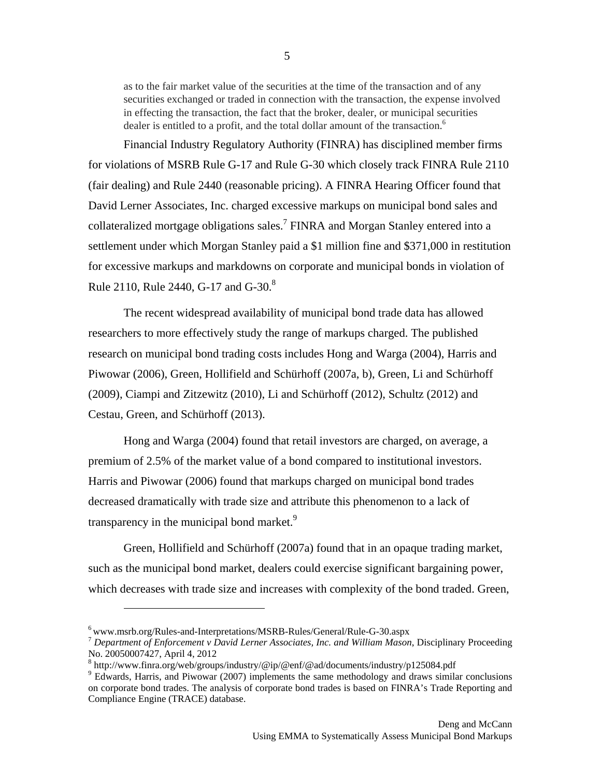as to the fair market value of the securities at the time of the transaction and of any securities exchanged or traded in connection with the transaction, the expense involved in effecting the transaction, the fact that the broker, dealer, or municipal securities dealer is entitled to a profit, and the total dollar amount of the transaction.<sup>6</sup>

Financial Industry Regulatory Authority (FINRA) has disciplined member firms for violations of MSRB Rule G-17 and Rule G-30 which closely track FINRA Rule 2110 (fair dealing) and Rule 2440 (reasonable pricing). A FINRA Hearing Officer found that David Lerner Associates, Inc. charged excessive markups on municipal bond sales and collateralized mortgage obligations sales.<sup>7</sup> FINRA and Morgan Stanley entered into a settlement under which Morgan Stanley paid a \$1 million fine and \$371,000 in restitution for excessive markups and markdowns on corporate and municipal bonds in violation of Rule 2110, Rule 2440, G-17 and G-30.<sup>8</sup>

The recent widespread availability of municipal bond trade data has allowed researchers to more effectively study the range of markups charged. The published research on municipal bond trading costs includes Hong and Warga (2004), Harris and Piwowar (2006), Green, Hollifield and Schürhoff (2007a, b), Green, Li and Schürhoff (2009), Ciampi and Zitzewitz (2010), Li and Schürhoff (2012), Schultz (2012) and Cestau, Green, and Schürhoff (2013).

Hong and Warga (2004) found that retail investors are charged, on average, a premium of 2.5% of the market value of a bond compared to institutional investors. Harris and Piwowar (2006) found that markups charged on municipal bond trades decreased dramatically with trade size and attribute this phenomenon to a lack of transparency in the municipal bond market.<sup>9</sup>

Green, Hollifield and Schürhoff (2007a) found that in an opaque trading market, such as the municipal bond market, dealers could exercise significant bargaining power, which decreases with trade size and increases with complexity of the bond traded. Green,

 $\overline{a}$ 

5

<sup>6</sup> www.msrb.org/Rules-and-Interpretations/MSRB-Rules/General/Rule-G-30.aspx

<sup>7</sup> *Department of Enforcement v David Lerner Associates, Inc. and William Mason*, Disciplinary Proceeding No. 20050007427, April 4, 2012

<sup>&</sup>lt;sup>8</sup> http://www.finra.org/web/groups/industry/@ip/@enf/@ad/documents/industry/p125084.pdf<br><sup>9</sup> Educate Herric, and Divisions (2007) implements the same methodology and draws similar

<sup>&</sup>lt;sup>9</sup> Edwards, Harris, and Piwowar (2007) implements the same methodology and draws similar conclusions on corporate bond trades. The analysis of corporate bond trades is based on FINRA's Trade Reporting and Compliance Engine (TRACE) database.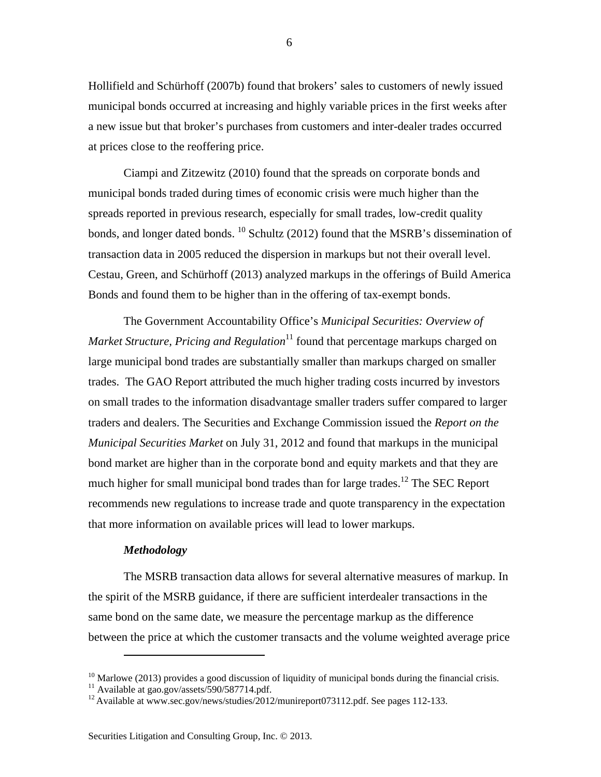Hollifield and Schürhoff (2007b) found that brokers' sales to customers of newly issued municipal bonds occurred at increasing and highly variable prices in the first weeks after a new issue but that broker's purchases from customers and inter-dealer trades occurred at prices close to the reoffering price.

Ciampi and Zitzewitz (2010) found that the spreads on corporate bonds and municipal bonds traded during times of economic crisis were much higher than the spreads reported in previous research, especially for small trades, low-credit quality bonds, and longer dated bonds. <sup>10</sup> Schultz (2012) found that the MSRB's dissemination of transaction data in 2005 reduced the dispersion in markups but not their overall level. Cestau, Green, and Schürhoff (2013) analyzed markups in the offerings of Build America Bonds and found them to be higher than in the offering of tax-exempt bonds.

The Government Accountability Office's *Municipal Securities: Overview of Market Structure, Pricing and Regulation*<sup>11</sup> found that percentage markups charged on large municipal bond trades are substantially smaller than markups charged on smaller trades. The GAO Report attributed the much higher trading costs incurred by investors on small trades to the information disadvantage smaller traders suffer compared to larger traders and dealers. The Securities and Exchange Commission issued the *Report on the Municipal Securities Market* on July 31, 2012 and found that markups in the municipal bond market are higher than in the corporate bond and equity markets and that they are much higher for small municipal bond trades than for large trades.<sup>12</sup> The SEC Report recommends new regulations to increase trade and quote transparency in the expectation that more information on available prices will lead to lower markups.

### *Methodology*

 $\overline{a}$ 

The MSRB transaction data allows for several alternative measures of markup. In the spirit of the MSRB guidance, if there are sufficient interdealer transactions in the same bond on the same date, we measure the percentage markup as the difference between the price at which the customer transacts and the volume weighted average price

6

 $10$  Marlowe (2013) provides a good discussion of liquidity of municipal bonds during the financial crisis.

<sup>&</sup>lt;sup>11</sup> Available at gao.gov/assets/590/587714.pdf.

<sup>&</sup>lt;sup>12</sup> Available at www.sec.gov/news/studies/2012/munireport073112.pdf. See pages 112-133.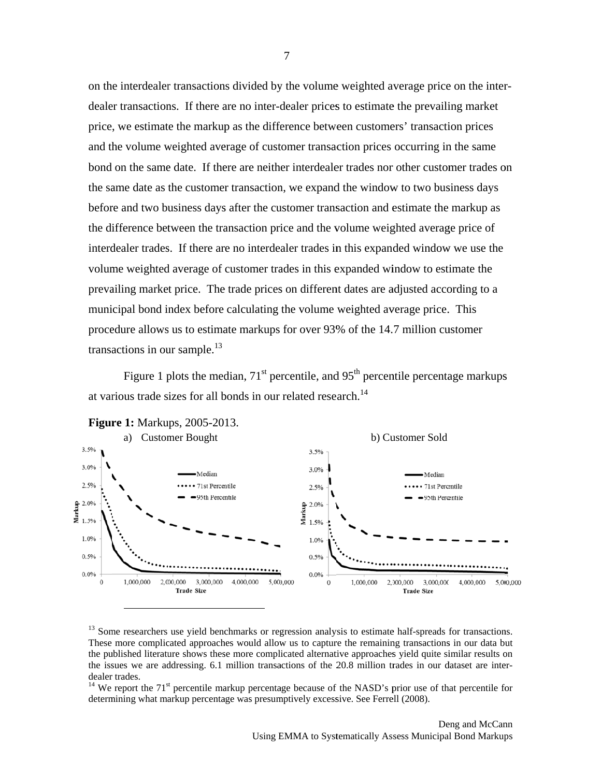on the interdealer transactions divided by the volume weighted average price on the interdealer transactions. If there are no inter-dealer prices to estimate the prevailing market price, we estimate the markup as the difference between customers' transaction prices and the volume weighted average of customer transaction prices occurring in the same bond on the same date. If there are neither interdealer trades nor other customer trades on the same date as the customer transaction, we expand the window to two business days before and two business days after the customer transaction and estimate the markup as the difference between the transaction price and the volume weighted average price of interdealer trades. If there are no interdealer trades in this expanded window we use the volume weighted average of customer trades in this expanded window to estimate the prevailing market price. The trade prices on different dates are adjusted according to a municipal bond index before calculating the volume weighted average price. This procedure allows us to estimate markups for over 93% of the 14.7 million customer transactions in our sample.<sup>13</sup>

Figure 1 plots the median,  $71<sup>st</sup>$  percentile, and  $95<sup>th</sup>$  percentile percentage markups at various trade sizes for all bonds in our related research.<sup>14</sup>



<sup>13</sup> Some researchers use yield benchmarks or regression analysis to estimate half-spreads for transactions. These more complicated approaches would allow us to capture the remaining transactions in our data but the published literature shows these more complicated alternative approaches yield quite similar results on the issues we are addressing. 6.1 million transactions of the 20.8 million trades in our dataset are interdealer trades.

<sup>14</sup> We report the 71<sup>st</sup> percentile markup percentage because of the NASD's prior use of that percentile for determining what markup percentage was presumptively excessive. See Ferrell (2008).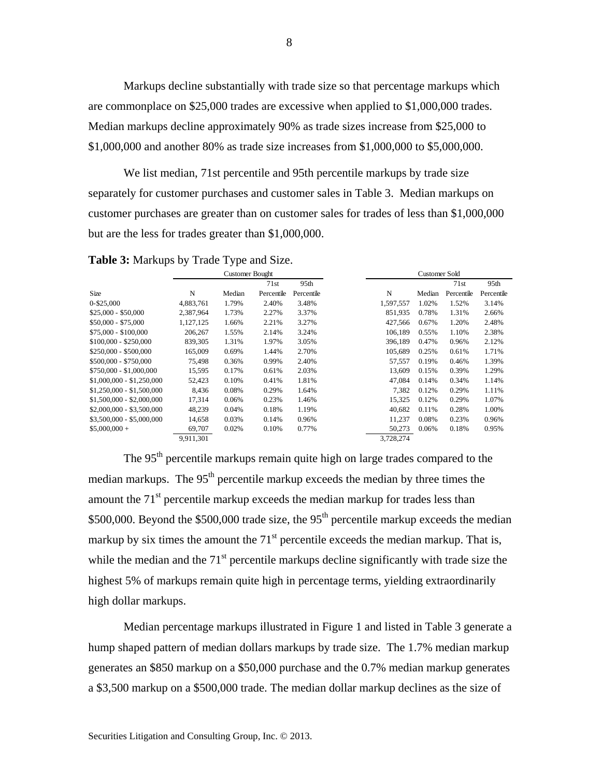Markups decline substantially with trade size so that percentage markups which are commonplace on \$25,000 trades are excessive when applied to \$1,000,000 trades. Median markups decline approximately 90% as trade sizes increase from \$25,000 to \$1,000,000 and another 80% as trade size increases from \$1,000,000 to \$5,000,000.

We list median, 71st percentile and 95th percentile markups by trade size separately for customer purchases and customer sales in Table 3. Median markups on customer purchases are greater than on customer sales for trades of less than \$1,000,000 but are the less for trades greater than \$1,000,000.

|                           |           | <b>Customer Bought</b> |            |            |           | Customer Sold |            |            |
|---------------------------|-----------|------------------------|------------|------------|-----------|---------------|------------|------------|
|                           |           |                        | 71st       | 95th       |           |               | 71st       | 95th       |
| Size                      | N         | Median                 | Percentile | Percentile | N         | Median        | Percentile | Percentile |
| 0-\$25,000                | 4,883,761 | 1.79%                  | 2.40%      | 3.48%      | 1,597,557 | 1.02%         | 1.52%      | 3.14%      |
| $$25,000 - $50,000$       | 2,387,964 | 1.73%                  | 2.27%      | 3.37%      | 851,935   | 0.78%         | 1.31%      | 2.66%      |
| $$50,000 - $75,000$       | 1,127,125 | 1.66%                  | 2.21%      | 3.27%      | 427,566   | 0.67%         | 1.20%      | 2.48%      |
| $$75,000 - $100,000$      | 206,267   | 1.55%                  | 2.14%      | 3.24%      | 106.189   | 0.55%         | 1.10%      | 2.38%      |
| $$100,000 - $250,000$     | 839,305   | 1.31%                  | 1.97%      | 3.05%      | 396,189   | 0.47%         | 0.96%      | 2.12%      |
| $$250,000 - $500,000$     | 165,009   | 0.69%                  | 1.44%      | 2.70%      | 105,689   | 0.25%         | 0.61%      | 1.71%      |
| \$500,000 - \$750,000     | 75.498    | 0.36%                  | 0.99%      | 2.40%      | 57.557    | 0.19%         | 0.46%      | 1.39%      |
| $$750,000 - $1,000,000$   | 15,595    | 0.17%                  | 0.61%      | 2.03%      | 13,609    | 0.15%         | 0.39%      | 1.29%      |
| $$1,000,000 - $1,250,000$ | 52,423    | 0.10%                  | 0.41%      | 1.81%      | 47.084    | 0.14%         | 0.34%      | 1.14%      |
| $$1,250,000 - $1,500,000$ | 8.436     | 0.08%                  | 0.29%      | 1.64%      | 7.382     | 0.12%         | 0.29%      | 1.11%      |
| $$1,500,000 - $2,000,000$ | 17.314    | 0.06%                  | 0.23%      | 1.46%      | 15.325    | 0.12%         | 0.29%      | 1.07%      |
| $$2,000,000 - $3,500,000$ | 48,239    | 0.04%                  | 0.18%      | 1.19%      | 40,682    | 0.11%         | 0.28%      | 1.00%      |
| $$3,500,000 - $5,000,000$ | 14,658    | 0.03%                  | 0.14%      | 0.96%      | 11,237    | 0.08%         | 0.23%      | 0.96%      |
| $$5,000,000+$             | 69,707    | 0.02%                  | 0.10%      | 0.77%      | 50,273    | 0.06%         | 0.18%      | 0.95%      |
|                           | 9.911.301 |                        |            |            | 3.728.274 |               |            |            |

**Table 3:** Markups by Trade Type and Size.

The 95<sup>th</sup> percentile markups remain quite high on large trades compared to the median markups. The  $95<sup>th</sup>$  percentile markup exceeds the median by three times the amount the  $71<sup>st</sup>$  percentile markup exceeds the median markup for trades less than \$500,000. Beyond the \$500,000 trade size, the  $95<sup>th</sup>$  percentile markup exceeds the median markup by six times the amount the  $71<sup>st</sup>$  percentile exceeds the median markup. That is, while the median and the  $71<sup>st</sup>$  percentile markups decline significantly with trade size the highest 5% of markups remain quite high in percentage terms, yielding extraordinarily high dollar markups.

Median percentage markups illustrated in Figure 1 and listed in Table 3 generate a hump shaped pattern of median dollars markups by trade size. The 1.7% median markup generates an \$850 markup on a \$50,000 purchase and the 0.7% median markup generates a \$3,500 markup on a \$500,000 trade. The median dollar markup declines as the size of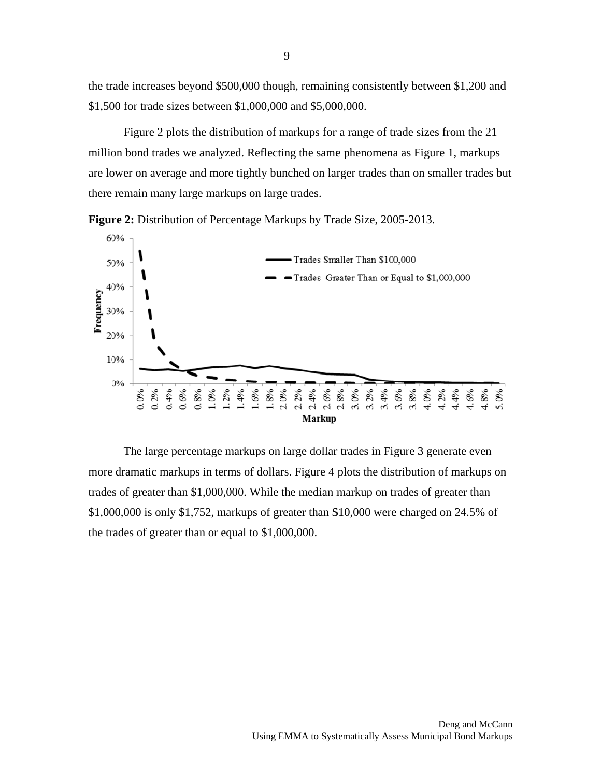the trade increases beyond \$500,000 though, remaining consistently between \$1,200 and \$1,500 for trade sizes between \$1,000,000 and \$5,000,000.

Figure 2 plots the distribution of markups for a range of trade sizes from the 21 million bond trades we analyzed. Reflecting the same phenomena as Figure 1, markups are lower on average and more tightly bunched on larger trades than on smaller trades but there remain many large markups on large trades.





The large percentage markups on large dollar trades in Figure 3 generate even more dramatic markups in terms of dollars. Figure 4 plots the distribution of markups on trades of greater than \$1,000,000. While the median markup on trades of greater than \$1,000,000 is only \$1,752, markups of greater than \$10,000 were charged on 24.5% of the trades of greater than or equal to  $$1,000,000$ .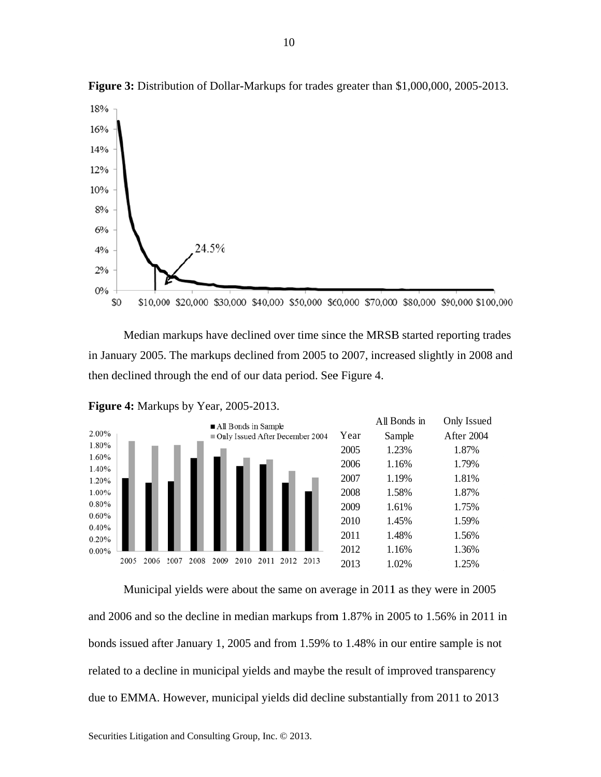

Figure 3: Distribution of Dollar-Markups for trades greater than \$1,000,000, 2005-2013.

Median markups have declined over time since the MRSB started reporting trades in January 2005. The markups declined from 2005 to 2007, increased slightly in 2008 and then declined through the end of our data period. See Figure 4.



Figure 4: Markups by Year, 2005-2013.

Municipal yields were about the same on average in 2011 as they were in 2005 and 2006 and so the decline in median markups from 1.87% in 2005 to 1.56% in 2011 in bonds issued after January 1, 2005 and from 1.59% to 1.48% in our entire sample is not related to a decline in municipal yields and maybe the result of improved transparency due to EMMA. However, municipal yields did decline substantially from 2011 to 2013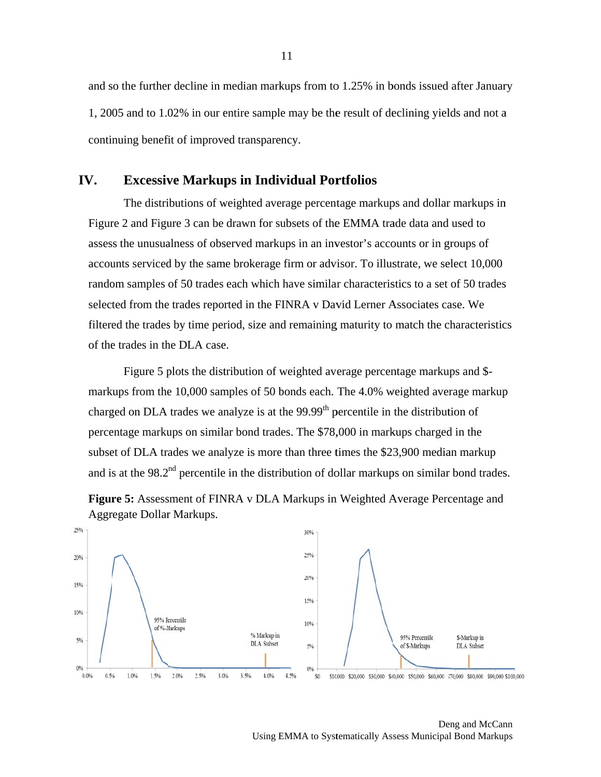and so the further decline in median markups from to 1.25% in bonds issued after January 1, 2005 and to 1.02% in our entire sample may be the result of declining yields and not a continuing benefit of improved transparency.

#### IV. **Excessive Markups in Individual Portfolios**

The distributions of weighted average percentage markups and dollar markups in Figure 2 and Figure 3 can be drawn for subsets of the EMMA trade data and used to assess the unusualness of observed markups in an investor's accounts or in groups of accounts serviced by the same brokerage firm or advisor. To illustrate, we select 10,000 random samples of 50 trades each which have similar characteristics to a set of 50 trades selected from the trades reported in the FINRA v David Lerner Associates case. We filtered the trades by time period, size and remaining maturity to match the characteristics of the trades in the DLA case.

Figure 5 plots the distribution of weighted average percentage markups and \$markups from the 10,000 samples of 50 bonds each. The 4.0% weighted average markup charged on DLA trades we analyze is at the 99.99<sup>th</sup> percentile in the distribution of percentage markups on similar bond trades. The \$78,000 in markups charged in the subset of DLA trades we analyze is more than three times the \$23,900 median markup and is at the 98.2<sup>nd</sup> percentile in the distribution of dollar markups on similar bond trades.



Figure 5: Assessment of FINRA v DLA Markups in Weighted Average Percentage and Aggregate Dollar Markups.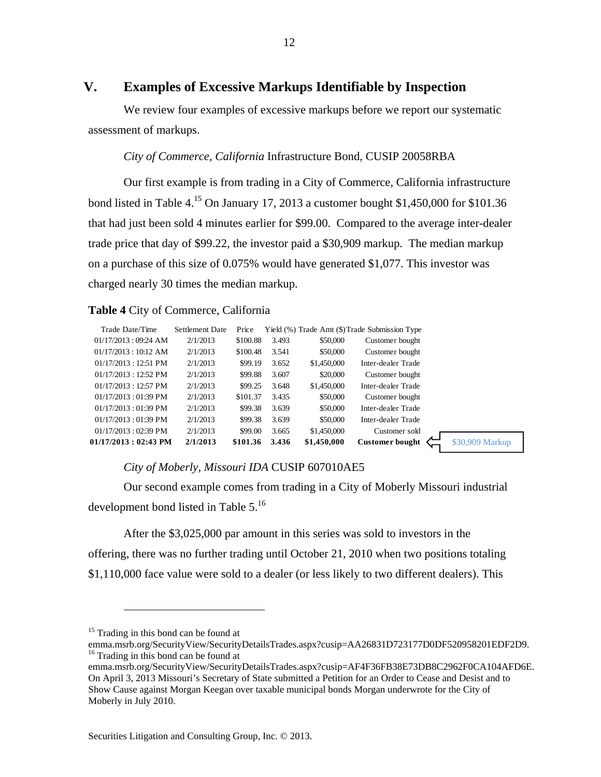# **V. Examples of Excessive Markups Identifiable by Inspection**

We review four examples of excessive markups before we report our systematic assessment of markups.

### *City of Commerce, California* Infrastructure Bond, CUSIP 20058RBA

Our first example is from trading in a City of Commerce, California infrastructure bond listed in Table 4.<sup>15</sup> On January 17, 2013 a customer bought \$1,450,000 for \$101.36 that had just been sold 4 minutes earlier for \$99.00. Compared to the average inter-dealer trade price that day of \$99.22, the investor paid a \$30,909 markup. The median markup on a purchase of this size of 0.075% would have generated \$1,077. This investor was charged nearly 30 times the median markup.

### **Table 4** City of Commerce, California

| Trade Date/Time               | Settlement Date | Price    |       |             | Yield (%) Trade Amt (\$) Trade Submission Type |                 |
|-------------------------------|-----------------|----------|-------|-------------|------------------------------------------------|-----------------|
| 01/17/2013:09:24 AM           | 2/1/2013        | \$100.88 | 3.493 | \$50,000    | Customer bought                                |                 |
| 01/17/2013:10:12 AM           | 2/1/2013        | \$100.48 | 3.541 | \$50,000    | Customer bought                                |                 |
| $01/17/2013:12:51 \text{ PM}$ | 2/1/2013        | \$99.19  | 3.652 | \$1,450,000 | Inter-dealer Trade                             |                 |
| $01/17/2013:12:52 \text{ PM}$ | 2/1/2013        | \$99.88  | 3.607 | \$20,000    | Customer bought                                |                 |
| $01/17/2013:12:57 \text{ PM}$ | 2/1/2013        | \$99.25  | 3.648 | \$1,450,000 | Inter-dealer Trade                             |                 |
| $01/17/2013:01:39 \text{ PM}$ | 2/1/2013        | \$101.37 | 3.435 | \$50,000    | Customer bought                                |                 |
| $01/17/2013:01:39 \text{ PM}$ | 2/1/2013        | \$99.38  | 3.639 | \$50,000    | Inter-dealer Trade                             |                 |
| $01/17/2013:01:39 \text{ PM}$ | 2/1/2013        | \$99.38  | 3.639 | \$50,000    | Inter-dealer Trade                             |                 |
| $01/17/2013:02:39 \text{ PM}$ | 2/1/2013        | \$99.00  | 3.665 | \$1,450,000 | Customer sold                                  |                 |
| 01/17/2013 : 02:43 PM         | 2/1/2013        | \$101.36 | 3.436 | \$1,450,000 | <b>Customer bought</b>                         | \$30,909 Markup |
|                               |                 |          |       |             |                                                |                 |

#### *City of Moberly, Missouri IDA* CUSIP 607010AE5

Our second example comes from trading in a City of Moberly Missouri industrial development bond listed in Table 5.<sup>16</sup>

After the \$3,025,000 par amount in this series was sold to investors in the offering, there was no further trading until October 21, 2010 when two positions totaling \$1,110,000 face value were sold to a dealer (or less likely to two different dealers). This

 $\overline{a}$ 

<sup>&</sup>lt;sup>15</sup> Trading in this bond can be found at

emma.msrb.org/SecurityView/SecurityDetailsTrades.aspx?cusip=AA26831D723177D0DF520958201EDF2D9. <sup>16</sup> Trading in this bond can be found at

emma.msrb.org/SecurityView/SecurityDetailsTrades.aspx?cusip=AF4F36FB38E73DB8C2962F0CA104AFD6E. On April 3, 2013 Missouri's Secretary of State submitted a Petition for an Order to Cease and Desist and to Show Cause against Morgan Keegan over taxable municipal bonds Morgan underwrote for the City of Moberly in July 2010.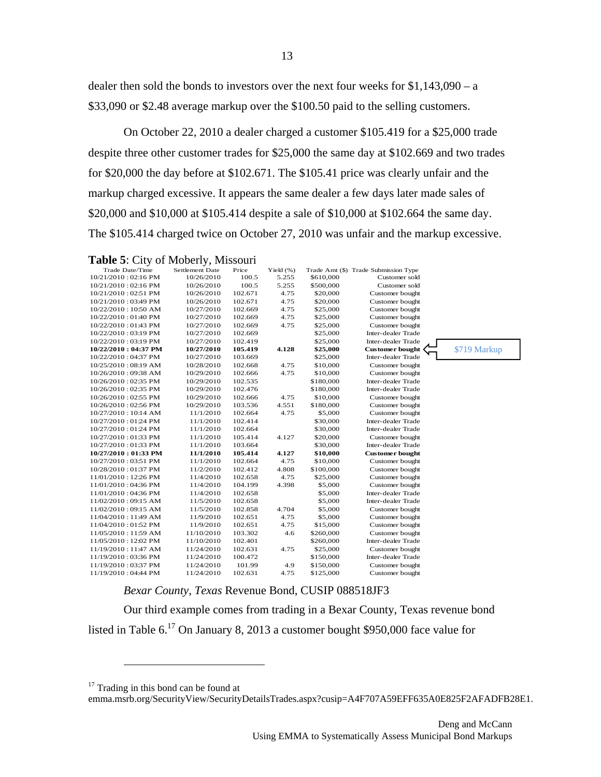13

dealer then sold the bonds to investors over the next four weeks for \$1,143,090 – a \$33,090 or \$2.48 average markup over the \$100.50 paid to the selling customers.

On October 22, 2010 a dealer charged a customer \$105.419 for a \$25,000 trade despite three other customer trades for \$25,000 the same day at \$102.669 and two trades for \$20,000 the day before at \$102.671. The \$105.41 price was clearly unfair and the markup charged excessive. It appears the same dealer a few days later made sales of \$20,000 and \$10,000 at \$105.414 despite a sale of \$10,000 at \$102.664 the same day. The \$105.414 charged twice on October 27, 2010 was unfair and the markup excessive.

| Table 5: City of Moberly, Missouri |  |  |  |  |
|------------------------------------|--|--|--|--|
|------------------------------------|--|--|--|--|

|                               | $-1, 7$         |         |           |           |                                      |              |
|-------------------------------|-----------------|---------|-----------|-----------|--------------------------------------|--------------|
| Trade Date/Time               | Settlement Date | Price   | Yield (%) |           | Trade Amt (\$) Trade Submission Type |              |
| 10/21/2010:02:16 PM           | 10/26/2010      | 100.5   | 5.255     | \$610,000 | Customer sold                        |              |
| $10/21/2010:02:16 \text{ PM}$ | 10/26/2010      | 100.5   | 5.255     | \$500,000 | Customer sold                        |              |
| $10/21/2010:02:51 \text{ PM}$ | 10/26/2010      | 102.671 | 4.75      | \$20,000  | Customer bought                      |              |
| 10/21/2010:03:49 PM           | 10/26/2010      | 102.671 | 4.75      | \$20,000  | Customer bought                      |              |
| 10/22/2010:10:50 AM           | 10/27/2010      | 102.669 | 4.75      | \$25,000  | Customer bought                      |              |
| 10/22/2010:01:40 PM           | 10/27/2010      | 102.669 | 4.75      | \$25,000  | Customer bought                      |              |
| 10/22/2010 : 01:43 PM         | 10/27/2010      | 102.669 | 4.75      | \$25,000  | Customer bought                      |              |
| 10/22/2010:03:19 PM           | 10/27/2010      | 102.669 |           | \$25,000  | Inter-dealer Trade                   |              |
| 10/22/2010:03:19 PM           | 10/27/2010      | 102.419 |           | \$25,000  | Inter-dealer Trade                   |              |
| 10/22/2010:04:37 PM           | 10/27/2010      | 105.419 | 4.128     | \$25,000  | <b>Customer bought</b>               | \$719 Markup |
| 10/22/2010:04:37 PM           | 10/27/2010      | 103.669 |           | \$25,000  | Inter-dealer Trade                   |              |
| 10/25/2010:08:19 AM           | 10/28/2010      | 102.668 | 4.75      | \$10,000  | Customer bought                      |              |
| 10/26/2010:09:38 AM           | 10/29/2010      | 102.666 | 4.75      | \$10,000  | Customer bought                      |              |
| 10/26/2010:02:35 PM           | 10/29/2010      | 102.535 |           | \$180,000 | Inter-dealer Trade                   |              |
| 10/26/2010 : 02:35 PM         | 10/29/2010      | 102.476 |           | \$180,000 | Inter-dealer Trade                   |              |
| 10/26/2010:02:55 PM           | 10/29/2010      | 102.666 | 4.75      | \$10,000  | Customer bought                      |              |
| 10/26/2010:02:56 PM           | 10/29/2010      | 103.536 | 4.551     | \$180,000 | Customer bought                      |              |
| 10/27/2010:10:14 AM           | 11/1/2010       | 102.664 | 4.75      | \$5,000   | Customer bought                      |              |
| 10/27/2010:01:24 PM           | 11/1/2010       | 102.414 |           | \$30,000  | Inter-dealer Trade                   |              |
| 10/27/2010:01:24 PM           | 11/1/2010       | 102.664 |           | \$30,000  | Inter-dealer Trade                   |              |
| 10/27/2010 : 01:33 PM         | 11/1/2010       | 105.414 | 4.127     | \$20,000  | Customer bought                      |              |
| 10/27/2010 : 01:33 PM         | 11/1/2010       | 103.664 |           | \$30,000  | Inter-dealer Trade                   |              |
| 10/27/2010:01:33 PM           | 11/1/2010       | 105.414 | 4.127     | \$10,000  | <b>Customer</b> bought               |              |
| 10/27/2010:03:51 PM           | 11/1/2010       | 102.664 | 4.75      | \$10,000  | Customer bought                      |              |
| 10/28/2010 : 01:37 PM         | 11/2/2010       | 102.412 | 4.808     | \$100,000 | Customer bought                      |              |
| 11/01/2010:12:26 PM           | 11/4/2010       | 102.658 | 4.75      | \$25,000  | Customer bought                      |              |
| 11/01/2010:04:36 PM           | 11/4/2010       | 104.199 | 4.398     | \$5,000   | Customer bought                      |              |
| 11/01/2010:04:36 PM           | 11/4/2010       | 102.658 |           | \$5,000   | Inter-dealer Trade                   |              |
| 11/02/2010:09:15 AM           | 11/5/2010       | 102.658 |           | \$5,000   | Inter-dealer Trade                   |              |
| 11/02/2010:09:15 AM           | 11/5/2010       | 102.858 | 4.704     | \$5,000   | Customer bought                      |              |
| 11/04/2010:11:49 AM           | 11/9/2010       | 102.651 | 4.75      | \$5,000   | Customer bought                      |              |
| 11/04/2010:01:52 PM           | 11/9/2010       | 102.651 | 4.75      | \$15,000  | Customer bought                      |              |
| 11/05/2010:11:59 AM           | 11/10/2010      | 103.302 | 4.6       | \$260,000 | Customer bought                      |              |
| 11/05/2010:12:02 PM           | 11/10/2010      | 102.401 |           | \$260,000 | Inter-dealer Trade                   |              |
| 11/19/2010:11:47 AM           | 11/24/2010      | 102.631 | 4.75      | \$25,000  | Customer bought                      |              |
| 11/19/2010:03:36 PM           | 11/24/2010      | 100.472 |           | \$150,000 | Inter-dealer Trade                   |              |
| 11/19/2010 : 03:37 PM         | 11/24/2010      | 101.99  | 4.9       | \$150,000 | Customer bought                      |              |
| 11/19/2010 : 04:44 PM         | 11/24/2010      | 102.631 | 4.75      | \$125,000 | Customer bought                      |              |

#### *Bexar County, Texas* Revenue Bond, CUSIP 088518JF3

Our third example comes from trading in a Bexar County, Texas revenue bond listed in Table 6.17 On January 8, 2013 a customer bought \$950,000 face value for

 $\overline{a}$ 

emma.msrb.org/SecurityView/SecurityDetailsTrades.aspx?cusip=A4F707A59EFF635A0E825F2AFADFB28E1.

 $17$  Trading in this bond can be found at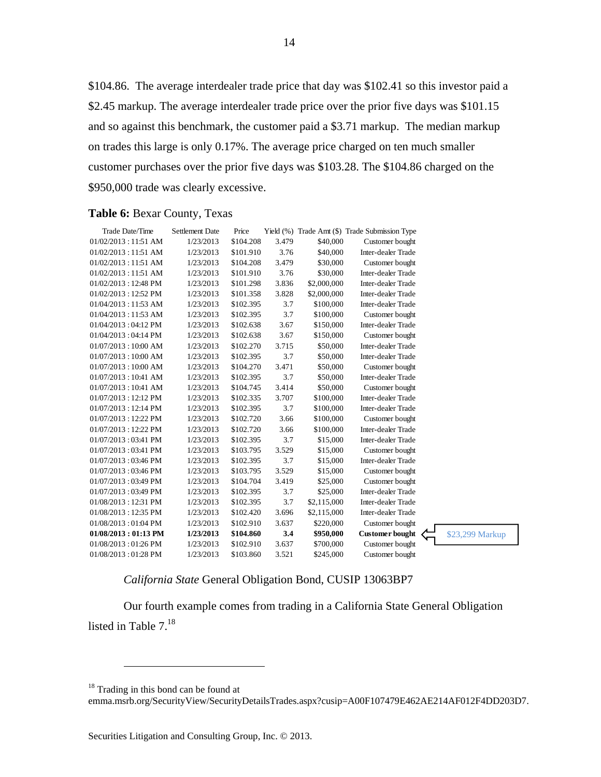\$104.86. The average interdealer trade price that day was \$102.41 so this investor paid a \$2.45 markup. The average interdealer trade price over the prior five days was \$101.15 and so against this benchmark, the customer paid a \$3.71 markup. The median markup on trades this large is only 0.17%. The average price charged on ten much smaller customer purchases over the prior five days was \$103.28. The \$104.86 charged on the \$950,000 trade was clearly excessive.

#### **Table 6:** Bexar County, Texas

| Trade Date/Time               | <b>Settlement Date</b> | Price     |       |             | Yield (%) Trade Amt (\$) Trade Submission Type |                 |
|-------------------------------|------------------------|-----------|-------|-------------|------------------------------------------------|-----------------|
| $01/02/2013:11:51$ AM         | 1/23/2013              | \$104.208 | 3.479 | \$40,000    | Customer bought                                |                 |
| $01/02/2013:11:51$ AM         | 1/23/2013              | \$101.910 | 3.76  | \$40,000    | Inter-dealer Trade                             |                 |
| 01/02/2013:11:51 AM           | 1/23/2013              | \$104.208 | 3.479 | \$30,000    | Customer bought                                |                 |
| 01/02/2013:11:51 AM           | 1/23/2013              | \$101.910 | 3.76  | \$30,000    | Inter-dealer Trade                             |                 |
| 01/02/2013:12:48 PM           | 1/23/2013              | \$101.298 | 3.836 | \$2,000,000 | Inter-dealer Trade                             |                 |
| $01/02/2013:12:52 \text{ PM}$ | 1/23/2013              | \$101.358 | 3.828 | \$2,000,000 | Inter-dealer Trade                             |                 |
| 01/04/2013:11:53 AM           | 1/23/2013              | \$102.395 | 3.7   | \$100,000   | Inter-dealer Trade                             |                 |
| $01/04/2013:11:53$ AM         | 1/23/2013              | \$102.395 | 3.7   | \$100,000   | Customer bought                                |                 |
| 01/04/2013:04:12 PM           | 1/23/2013              | \$102.638 | 3.67  | \$150,000   | Inter-dealer Trade                             |                 |
| 01/04/2013:04:14 PM           | 1/23/2013              | \$102.638 | 3.67  | \$150,000   | Customer bought                                |                 |
| 01/07/2013:10:00 AM           | 1/23/2013              | \$102.270 | 3.715 | \$50,000    | Inter-dealer Trade                             |                 |
| 01/07/2013:10:00 AM           | 1/23/2013              | \$102.395 | 3.7   | \$50,000    | Inter-dealer Trade                             |                 |
| 01/07/2013:10:00 AM           | 1/23/2013              | \$104.270 | 3.471 | \$50,000    | Customer bought                                |                 |
| $01/07/2013:10:41$ AM         | 1/23/2013              | \$102.395 | 3.7   | \$50,000    | Inter-dealer Trade                             |                 |
| $01/07/2013:10:41$ AM         | 1/23/2013              | \$104.745 | 3.414 | \$50,000    | Customer bought                                |                 |
| $01/07/2013:12:12 \text{ PM}$ | 1/23/2013              | \$102.335 | 3.707 | \$100,000   | Inter-dealer Trade                             |                 |
| $01/07/2013:12:14 \text{ PM}$ | 1/23/2013              | \$102.395 | 3.7   | \$100,000   | Inter-dealer Trade                             |                 |
| 01/07/2013:12:22 PM           | 1/23/2013              | \$102.720 | 3.66  | \$100,000   | Customer bought                                |                 |
| 01/07/2013:12:22 PM           | 1/23/2013              | \$102.720 | 3.66  | \$100,000   | Inter-dealer Trade                             |                 |
| $01/07/2013:03:41 \text{ PM}$ | 1/23/2013              | \$102.395 | 3.7   | \$15,000    | Inter-dealer Trade                             |                 |
| 01/07/2013:03:41 PM           | 1/23/2013              | \$103.795 | 3.529 | \$15,000    | Customer bought                                |                 |
| $01/07/2013:03:46 \text{ PM}$ | 1/23/2013              | \$102.395 | 3.7   | \$15,000    | Inter-dealer Trade                             |                 |
| $01/07/2013:03:46 \text{ PM}$ | 1/23/2013              | \$103.795 | 3.529 | \$15,000    | Customer bought                                |                 |
| 01/07/2013:03:49 PM           | 1/23/2013              | \$104.704 | 3.419 | \$25,000    | Customer bought                                |                 |
| 01/07/2013:03:49 PM           | 1/23/2013              | \$102.395 | 3.7   | \$25,000    | Inter-dealer Trade                             |                 |
| 01/08/2013:12:31 PM           | 1/23/2013              | \$102.395 | 3.7   | \$2,115,000 | Inter-dealer Trade                             |                 |
| 01/08/2013:12:35 PM           | 1/23/2013              | \$102.420 | 3.696 | \$2,115,000 | Inter-dealer Trade                             |                 |
| $01/08/2013:01.04$ PM         | 1/23/2013              | \$102.910 | 3.637 | \$220,000   | Customer bought                                |                 |
| $01/08/2013:01:13$ PM         | 1/23/2013              | \$104.860 | 3.4   | \$950,000   | <b>Customer</b> bought                         | \$23,299 Markup |
| 01/08/2013:01:26 PM           | 1/23/2013              | \$102.910 | 3.637 | \$700,000   | Customer bought                                |                 |
| $01/08/2013:01:28 \text{ PM}$ | 1/23/2013              | \$103.860 | 3.521 | \$245,000   | Customer bought                                |                 |

### *California State* General Obligation Bond, CUSIP 13063BP7

Our fourth example comes from trading in a California State General Obligation listed in Table  $7<sup>18</sup>$ 

 $\overline{a}$ 

emma.msrb.org/SecurityView/SecurityDetailsTrades.aspx?cusip=A00F107479E462AE214AF012F4DD203D7.

<sup>&</sup>lt;sup>18</sup> Trading in this bond can be found at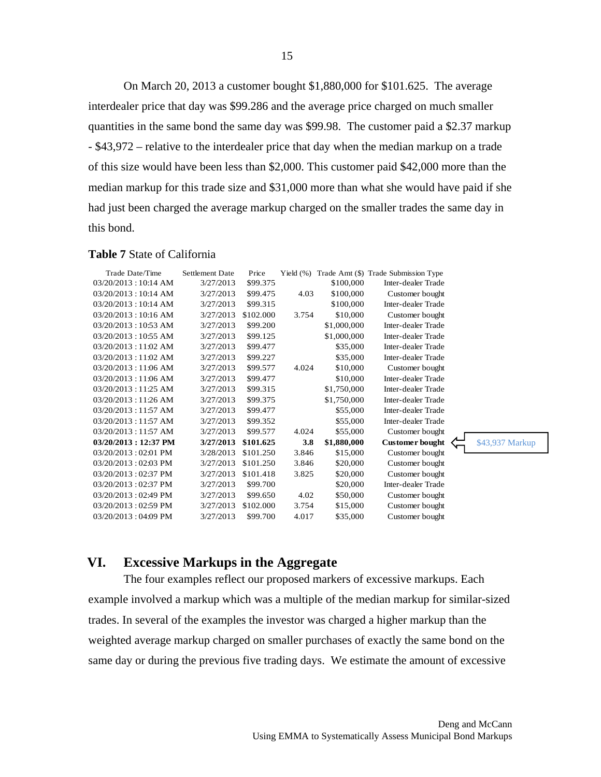On March 20, 2013 a customer bought \$1,880,000 for \$101.625. The average interdealer price that day was \$99.286 and the average price charged on much smaller quantities in the same bond the same day was \$99.98. The customer paid a \$2.37 markup - \$43,972 – relative to the interdealer price that day when the median markup on a trade of this size would have been less than \$2,000. This customer paid \$42,000 more than the median markup for this trade size and \$31,000 more than what she would have paid if she had just been charged the average markup charged on the smaller trades the same day in this bond.

#### **Table 7** State of California

| Trade Date/Time                 | <b>Settlement Date</b> | Price     | Yield $(\% )$ |             | Trade Amt (\$) Trade Submission Type |
|---------------------------------|------------------------|-----------|---------------|-------------|--------------------------------------|
| 03/20/2013:10:14 AM             | 3/27/2013              | \$99.375  |               | \$100,000   | Inter-dealer Trade                   |
| 03/20/2013:10:14 AM             | 3/27/2013              | \$99.475  | 4.03          | \$100,000   | Customer bought                      |
| 03/20/2013:10:14 AM             | 3/27/2013              | \$99.315  |               | \$100,000   | Inter-dealer Trade                   |
| 03/20/2013:10:16 AM             | 3/27/2013              | \$102.000 | 3.754         | \$10,000    | Customer bought                      |
| $03/20/2013:10:53$ AM           | 3/27/2013              | \$99.200  |               | \$1,000,000 | Inter-dealer Trade                   |
| $03/20/2013:10:55$ AM           | 3/27/2013              | \$99.125  |               | \$1,000,000 | Inter-dealer Trade                   |
| 03/20/2013:11:02 AM             | 3/27/2013              | \$99.477  |               | \$35,000    | Inter-dealer Trade                   |
| 03/20/2013:11:02 AM             | 3/27/2013              | \$99.227  |               | \$35,000    | Inter-dealer Trade                   |
| 03/20/2013:11:06 AM             | 3/27/2013              | \$99.577  | 4.024         | \$10,000    | Customer bought                      |
| $03/20/2013:11.06$ AM           | 3/27/2013              | \$99.477  |               | \$10,000    | Inter-dealer Trade                   |
| $03/20/2013:11:25$ AM           | 3/27/2013              | \$99.315  |               | \$1,750,000 | Inter-dealer Trade                   |
| 03/20/2013:11:26 AM             | 3/27/2013              | \$99.375  |               | \$1,750,000 | Inter-dealer Trade                   |
| $03/20/2013:11:57$ AM           | 3/27/2013              | \$99.477  |               | \$55,000    | <b>Inter-dealer Trade</b>            |
| $03/20/2013:11:57$ AM           | 3/27/2013              | \$99.352  |               | \$55,000    | Inter-dealer Trade                   |
| $03/20/2013:11.57$ AM           | 3/27/2013              | \$99.577  | 4.024         | \$55,000    | Customer bought                      |
| $03/20/2013 : 12:37 \text{ PM}$ | 3/27/2013              | \$101.625 | 3.8           | \$1,880,000 | <b>Customer bought</b>               |
| $03/20/2013:02.01$ PM           | 3/28/2013              | \$101.250 | 3.846         | \$15,000    | Customer bought                      |
| 03/20/2013:02:03 PM             | 3/27/2013              | \$101.250 | 3.846         | \$20,000    | Customer bought                      |
| 03/20/2013:02:37 PM             | 3/27/2013              | \$101.418 | 3.825         | \$20,000    | Customer bought                      |
| $03/20/2013:02:37 \text{ PM}$   | 3/27/2013              | \$99.700  |               | \$20,000    | Inter-dealer Trade                   |
| 03/20/2013:02:49 PM             | 3/27/2013              | \$99.650  | 4.02          | \$50,000    | Customer bought                      |
| 03/20/2013:02:59 PM             | 3/27/2013              | \$102.000 | 3.754         | \$15,000    | Customer bought                      |
| $03/20/2013:04.09$ PM           | 3/27/2013              | \$99.700  | 4.017         | \$35,000    | Customer bought                      |
|                                 |                        |           |               |             |                                      |

**VI. Excessive Markups in the Aggregate** 

The four examples reflect our proposed markers of excessive markups. Each example involved a markup which was a multiple of the median markup for similar-sized trades. In several of the examples the investor was charged a higher markup than the weighted average markup charged on smaller purchases of exactly the same bond on the same day or during the previous five trading days. We estimate the amount of excessive

\$43,937 Markup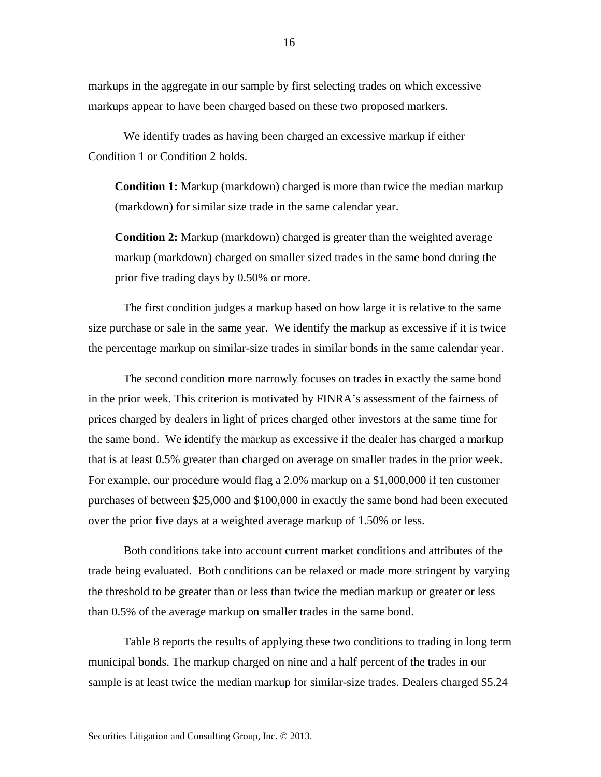markups in the aggregate in our sample by first selecting trades on which excessive markups appear to have been charged based on these two proposed markers.

We identify trades as having been charged an excessive markup if either Condition 1 or Condition 2 holds.

**Condition 1:** Markup (markdown) charged is more than twice the median markup (markdown) for similar size trade in the same calendar year.

**Condition 2:** Markup (markdown) charged is greater than the weighted average markup (markdown) charged on smaller sized trades in the same bond during the prior five trading days by 0.50% or more.

The first condition judges a markup based on how large it is relative to the same size purchase or sale in the same year. We identify the markup as excessive if it is twice the percentage markup on similar-size trades in similar bonds in the same calendar year.

The second condition more narrowly focuses on trades in exactly the same bond in the prior week. This criterion is motivated by FINRA's assessment of the fairness of prices charged by dealers in light of prices charged other investors at the same time for the same bond. We identify the markup as excessive if the dealer has charged a markup that is at least 0.5% greater than charged on average on smaller trades in the prior week. For example, our procedure would flag a 2.0% markup on a \$1,000,000 if ten customer purchases of between \$25,000 and \$100,000 in exactly the same bond had been executed over the prior five days at a weighted average markup of 1.50% or less.

Both conditions take into account current market conditions and attributes of the trade being evaluated. Both conditions can be relaxed or made more stringent by varying the threshold to be greater than or less than twice the median markup or greater or less than 0.5% of the average markup on smaller trades in the same bond.

Table 8 reports the results of applying these two conditions to trading in long term municipal bonds. The markup charged on nine and a half percent of the trades in our sample is at least twice the median markup for similar-size trades. Dealers charged \$5.24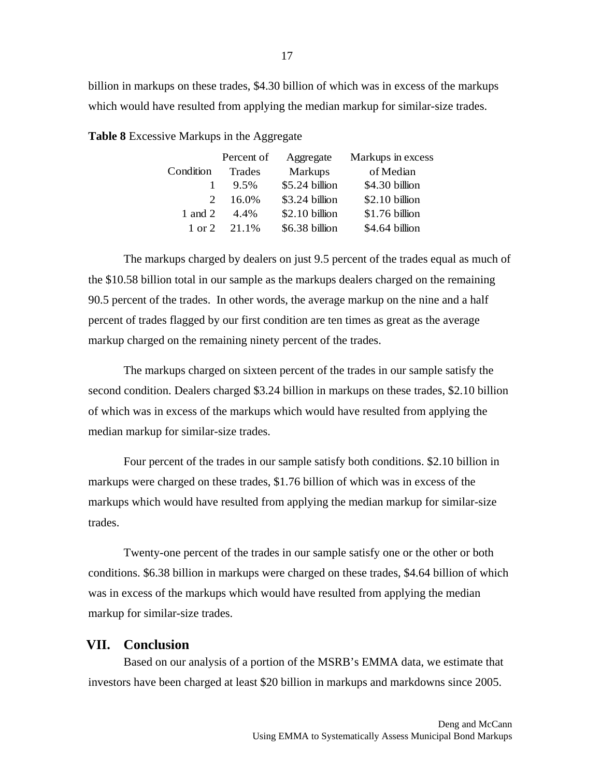billion in markups on these trades, \$4.30 billion of which was in excess of the markups which would have resulted from applying the median markup for similar-size trades.

**Table 8** Excessive Markups in the Aggregate

|           | Percent of | Aggregate      | Markups in excess |
|-----------|------------|----------------|-------------------|
| Condition | Trades     | <b>Markups</b> | of Median         |
|           | 9.5%       | \$5.24 billion | \$4.30 billion    |
| 2         | 16.0%      | \$3.24 billion | \$2.10 billion    |
| 1 and 2   | 44%        | \$2.10 billion | \$1.76 billion    |
| 1 or 2    | 21.1%      | \$6.38 billion | \$4.64 billion    |

The markups charged by dealers on just 9.5 percent of the trades equal as much of the \$10.58 billion total in our sample as the markups dealers charged on the remaining 90.5 percent of the trades. In other words, the average markup on the nine and a half percent of trades flagged by our first condition are ten times as great as the average markup charged on the remaining ninety percent of the trades.

The markups charged on sixteen percent of the trades in our sample satisfy the second condition. Dealers charged \$3.24 billion in markups on these trades, \$2.10 billion of which was in excess of the markups which would have resulted from applying the median markup for similar-size trades.

Four percent of the trades in our sample satisfy both conditions. \$2.10 billion in markups were charged on these trades, \$1.76 billion of which was in excess of the markups which would have resulted from applying the median markup for similar-size trades.

Twenty-one percent of the trades in our sample satisfy one or the other or both conditions. \$6.38 billion in markups were charged on these trades, \$4.64 billion of which was in excess of the markups which would have resulted from applying the median markup for similar-size trades.

# **VII. Conclusion**

Based on our analysis of a portion of the MSRB's EMMA data, we estimate that investors have been charged at least \$20 billion in markups and markdowns since 2005.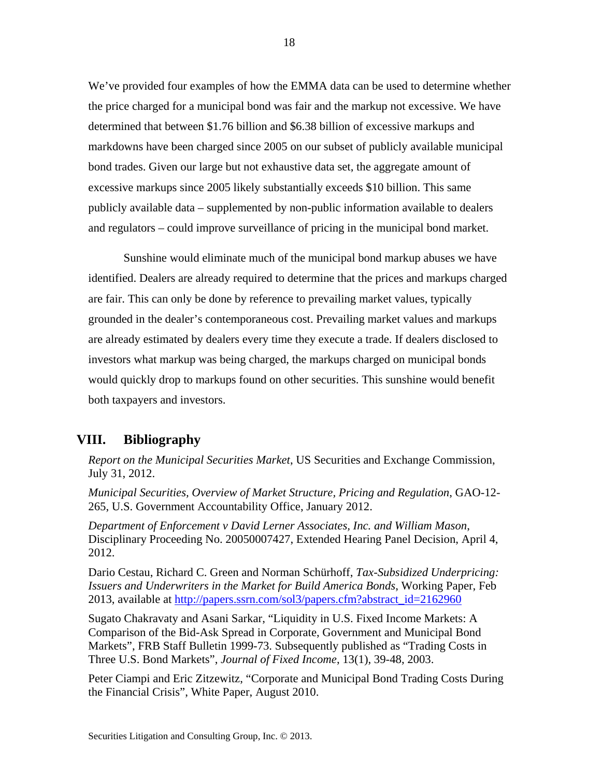We've provided four examples of how the EMMA data can be used to determine whether the price charged for a municipal bond was fair and the markup not excessive. We have determined that between \$1.76 billion and \$6.38 billion of excessive markups and markdowns have been charged since 2005 on our subset of publicly available municipal bond trades. Given our large but not exhaustive data set, the aggregate amount of excessive markups since 2005 likely substantially exceeds \$10 billion. This same publicly available data – supplemented by non-public information available to dealers and regulators – could improve surveillance of pricing in the municipal bond market.

Sunshine would eliminate much of the municipal bond markup abuses we have identified. Dealers are already required to determine that the prices and markups charged are fair. This can only be done by reference to prevailing market values, typically grounded in the dealer's contemporaneous cost. Prevailing market values and markups are already estimated by dealers every time they execute a trade. If dealers disclosed to investors what markup was being charged, the markups charged on municipal bonds would quickly drop to markups found on other securities. This sunshine would benefit both taxpayers and investors.

# **VIII. Bibliography**

*Report on the Municipal Securities Market*, US Securities and Exchange Commission, July 31, 2012.

*Municipal Securities, Overview of Market Structure, Pricing and Regulation*, GAO-12- 265, U.S. Government Accountability Office, January 2012.

*Department of Enforcement v David Lerner Associates, Inc. and William Mason*, Disciplinary Proceeding No. 20050007427, Extended Hearing Panel Decision, April 4, 2012.

Dario Cestau, Richard C. Green and Norman Schürhoff, *Tax-Subsidized Underpricing: Issuers and Underwriters in the Market for Build America Bonds*, Working Paper, Feb 2013, available at http://papers.ssrn.com/sol3/papers.cfm?abstract\_id=2162960

Sugato Chakravaty and Asani Sarkar, "Liquidity in U.S. Fixed Income Markets: A Comparison of the Bid-Ask Spread in Corporate, Government and Municipal Bond Markets", FRB Staff Bulletin 1999-73. Subsequently published as "Trading Costs in Three U.S. Bond Markets", *Journal of Fixed Income*, 13(1), 39-48, 2003.

Peter Ciampi and Eric Zitzewitz, "Corporate and Municipal Bond Trading Costs During the Financial Crisis", White Paper, August 2010.

18